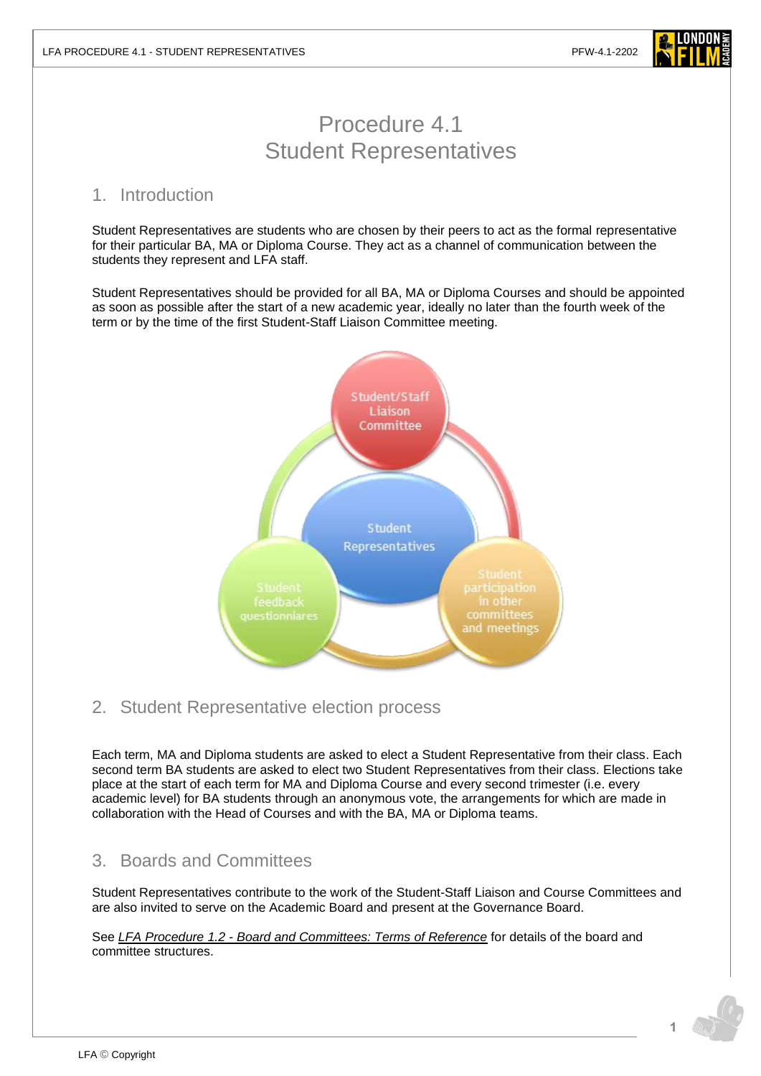

# Procedure 4.1 Student Representatives

### 1. Introduction

Student Representatives are students who are chosen by their peers to act as the formal representative for their particular BA, MA or Diploma Course. They act as a channel of communication between the students they represent and LFA staff.

Student Representatives should be provided for all BA, MA or Diploma Courses and should be appointed as soon as possible after the start of a new academic year, ideally no later than the fourth week of the term or by the time of the first Student-Staff Liaison Committee meeting.



## 2. Student Representative election process

Each term, MA and Diploma students are asked to elect a Student Representative from their class. Each second term BA students are asked to elect two Student Representatives from their class. Elections take place at the start of each term for MA and Diploma Course and every second trimester (i.e. every academic level) for BA students through an anonymous vote, the arrangements for which are made in collaboration with the Head of Courses and with the BA, MA or Diploma teams.

## 3. Boards and Committees

Student Representatives contribute to the work of the Student-Staff Liaison and Course Committees and are also invited to serve on the Academic Board and present at the Governance Board.

See *LFA Procedure 1.2 - [Board and Committees: Terms of Reference](https://www.londonfilmacademy.com/LFA_Procedure_1.2_Board_and_Committees:_Terms_of_Reference)* for details of the board and committee structures.